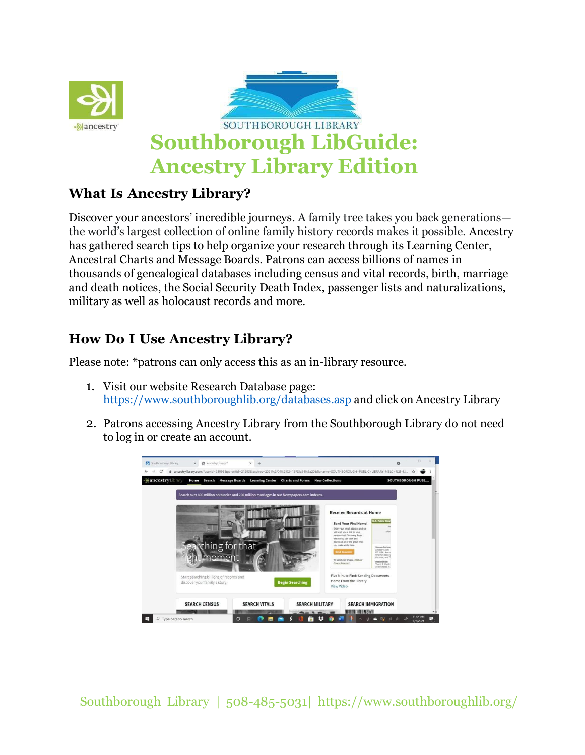

## **What Is Ancestry Library?**

Discover your ancestors' incredible journeys. A family tree takes you back generations the world's largest collection of online family history records makes it possible. Ancestry has gathered search tips to help organize your research through its Learning Center, Ancestral Charts and Message Boards. Patrons can access billions of names in thousands of genealogical databases including census and vital records, birth, marriage and death notices, the Social Security Death Index, passenger lists and naturalizations, military as well as holocaust records and more.

## **How Do I Use Ancestry Library?**

Please note: \*patrons can only access this as an in-library resource.

- 1. Visit our website Research Database page: <https://www.southboroughlib.org/databases.asp> and click on Ancestry Library
- 2. Patrons accessing Ancestry Library from the Southborough Library do not need to log in or create an account.



Southborough Library | 508-485-5031| https:/[/www.southboroughlib.org/](http://www.southboroughlib.org/)